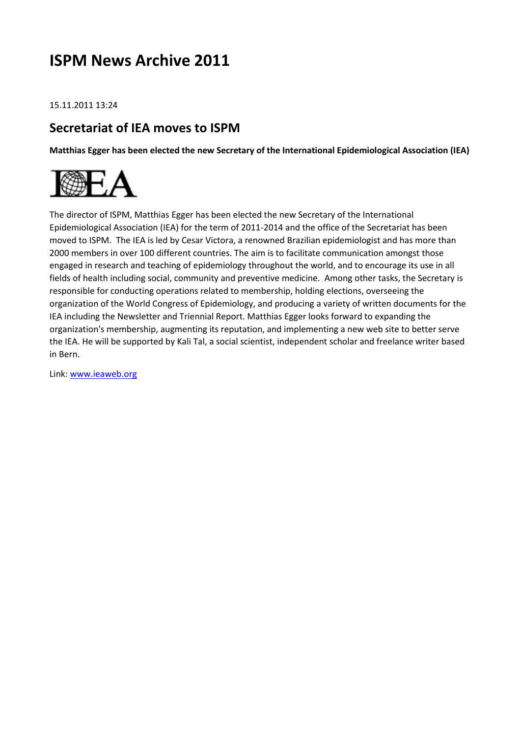# **ISPM News Archive 2011**

15.11.2011 13:24

#### **Secretariat of IEA moves to ISPM**

**Matthias Egger has been elected the new Secretary of the International Epidemiological Association (IEA)**



The director of ISPM, Matthias Egger has been elected the new Secretary of the International Epidemiological Association (IEA) for the term of 2011-2014 and the office of the Secretariat has been moved to ISPM. The IEA is led by Cesar Victora, a renowned Brazilian epidemiologist and has more than 2000 members in over 100 different countries. The aim is to facilitate communication amongst those engaged in research and teaching of epidemiology throughout the world, and to encourage its use in all fields of health including social, community and preventive medicine. Among other tasks, the Secretary is responsible for conducting operations related to membership, holding elections, overseeing the organization of the World Congress of Epidemiology, and producing a variety of written documents for the IEA including the Newsletter and Triennial Report. Matthias Egger looks forward to expanding the organization's membership, augmenting its reputation, and implementing a new web site to better serve the IEA. He will be supported by Kali Tal, a social scientist, independent scholar and freelance writer based in Bern.

Link: [www.ieaweb.org](http://www.ieaweb.org/)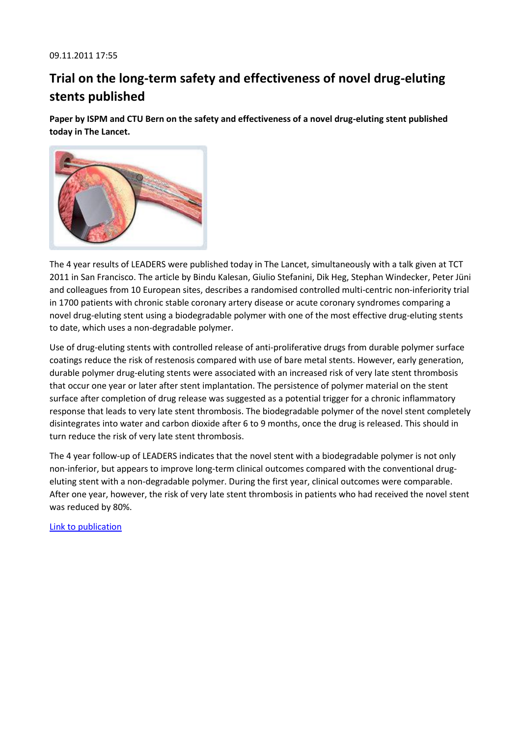# **Trial on the long-term safety and effectiveness of novel drug-eluting stents published**

**Paper by ISPM and CTU Bern on the safety and effectiveness of a novel drug-eluting stent published today in The Lancet.**



The 4 year results of LEADERS were published today in The Lancet, simultaneously with a talk given at TCT 2011 in San Francisco. The article by Bindu Kalesan, Giulio Stefanini, Dik Heg, Stephan Windecker, Peter Jüni and colleagues from 10 European sites, describes a randomised controlled multi-centric non-inferiority trial in 1700 patients with chronic stable coronary artery disease or acute coronary syndromes comparing a novel drug-eluting stent using a biodegradable polymer with one of the most effective drug-eluting stents to date, which uses a non-degradable polymer.

Use of drug-eluting stents with controlled release of anti-proliferative drugs from durable polymer surface coatings reduce the risk of restenosis compared with use of bare metal stents. However, early generation, durable polymer drug-eluting stents were associated with an increased risk of very late stent thrombosis that occur one year or later after stent implantation. The persistence of polymer material on the stent surface after completion of drug release was suggested as a potential trigger for a chronic inflammatory response that leads to very late stent thrombosis. The biodegradable polymer of the novel stent completely disintegrates into water and carbon dioxide after 6 to 9 months, once the drug is released. This should in turn reduce the risk of very late stent thrombosis.

The 4 year follow-up of LEADERS indicates that the novel stent with a biodegradable polymer is not only non-inferior, but appears to improve long-term clinical outcomes compared with the conventional drugeluting stent with a non-degradable polymer. During the first year, clinical outcomes were comparable. After one year, however, the risk of very late stent thrombosis in patients who had received the novel stent was reduced by 80%.

[Link to publication](http://www.lancet.com/journals/laninf/article/PIIS0140-6736%2811%2961672-3/fulltext)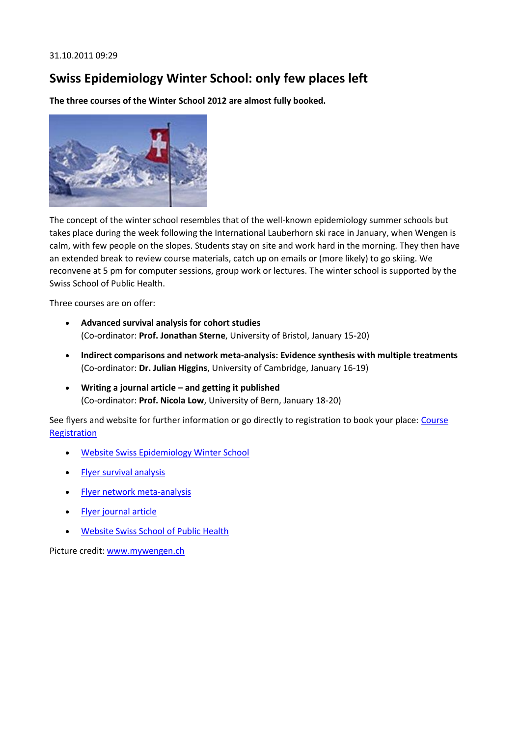## **Swiss Epidemiology Winter School: only few places left**

**The three courses of the Winter School 2012 are almost fully booked.**



The concept of the winter school resembles that of the well-known epidemiology summer schools but takes place during the week following the International Lauberhorn ski race in January, when Wengen is calm, with few people on the slopes. Students stay on site and work hard in the morning. They then have an extended break to review course materials, catch up on emails or (more likely) to go skiing. We reconvene at 5 pm for computer sessions, group work or lectures. The winter school is supported by the Swiss School of Public Health.

Three courses are on offer:

- **Advanced survival analysis for cohort studies**  (Co-ordinator: **Prof. Jonathan Sterne**, University of Bristol, January 15-20)
- **Indirect comparisons and network meta-analysis: Evidence synthesis with multiple treatments**  (Co-ordinator: **Dr. Julian Higgins**, University of Cambridge, January 16-19)
- **Writing a journal article – and getting it published**  (Co-ordinator: **Prof. Nicola Low**, University of Bern, January 18-20)

See flyers and website for further information or go directly to registration to book your place: Course **[Registration](http://www.epi-winterschool.org/index.php?id=3175)** 

- [Website Swiss Epidemiology Winter School](http://www.epi-winterschool.org/)
- [Flyer survival analysis](http://www.ispm.ch/fileadmin/doc_download/News/News_1107_Advanced_survival_analysis_for_cohort_studies_-_STERNE1.pdf)
- [Flyer network meta-analysis](http://www.ispm.ch/fileadmin/doc_download/News/News_1107_Indirect_comparisons_and_network_meta-analysis_-_HIGGINS1.pdf)
- [Flyer journal article](http://www.ispm.ch/fileadmin/doc_download/News/News_1107_Writing_a_journal_article_and_getting_it_published_-_LOW1.pdf)
- [Website Swiss School of Public Health](http://www.ssphplus.ch/)

Picture credit: [www.mywengen.ch](http://www.mywengen.ch/)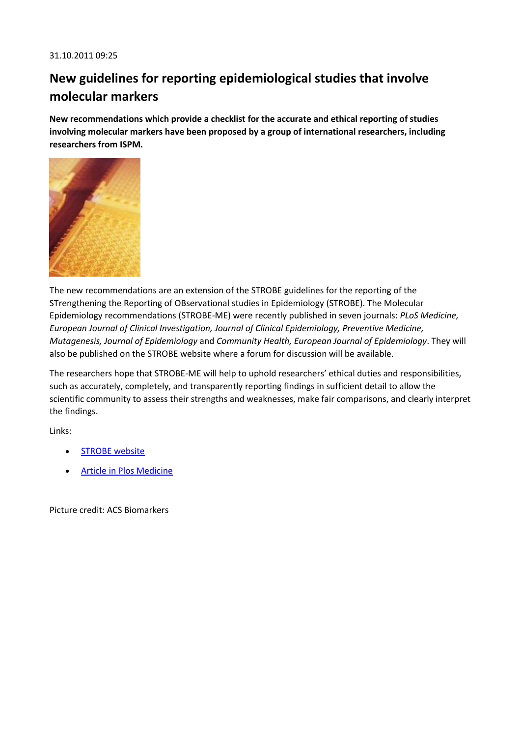# **New guidelines for reporting epidemiological studies that involve molecular markers**

**New recommendations which provide a checklist for the accurate and ethical reporting of studies involving molecular markers have been proposed by a group of international researchers, including researchers from ISPM.**



The new recommendations are an extension of the STROBE guidelines for the reporting of the STrengthening the Reporting of OBservational studies in Epidemiology (STROBE). The Molecular Epidemiology recommendations (STROBE-ME) were recently published in seven journals: *PLoS Medicine, European Journal of Clinical Investigation, Journal of Clinical Epidemiology, Preventive Medicine, Mutagenesis, Journal of Epidemiology* and *Community Health, European Journal of Epidemiology*. They will also be published on the STROBE website where a forum for discussion will be available.

The researchers hope that STROBE-ME will help to uphold researchers' ethical duties and responsibilities, such as accurately, completely, and transparently reporting findings in sufficient detail to allow the scientific community to assess their strengths and weaknesses, make fair comparisons, and clearly interpret the findings.

Links:

- STROBE website
- [Article in Plos Medicine](http://www.plosmedicine.org/article/info%3Adoi%2F10.1371%2Fjournal.pmed.1001117#s7)

Picture credit: ACS Biomarkers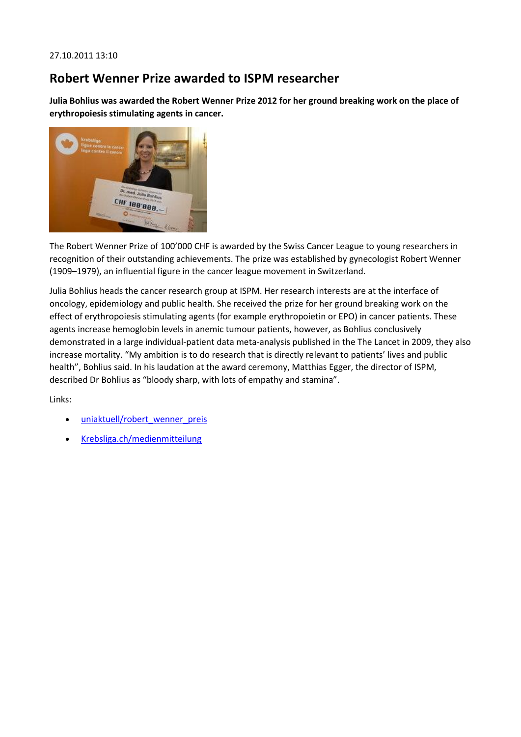### **Robert Wenner Prize awarded to ISPM researcher**

**Julia Bohlius was awarded the Robert Wenner Prize 2012 for her ground breaking work on the place of erythropoiesis stimulating agents in cancer.**



The Robert Wenner Prize of 100'000 CHF is awarded by the Swiss Cancer League to young researchers in recognition of their outstanding achievements. The prize was established by gynecologist Robert Wenner (1909–1979), an influential figure in the cancer league movement in Switzerland.

Julia Bohlius heads the cancer research group at ISPM. Her research interests are at the interface of oncology, epidemiology and public health. She received the prize for her ground breaking work on the effect of erythropoiesis stimulating agents (for example erythropoietin or EPO) in cancer patients. These agents increase hemoglobin levels in anemic tumour patients, however, as Bohlius conclusively demonstrated in a large individual-patient data meta-analysis published in the The Lancet in 2009, they also increase mortality. "My ambition is to do research that is directly relevant to patients' lives and public health", Bohlius said. In his laudation at the award ceremony, Matthias Egger, the director of ISPM, described Dr Bohlius as "bloody sharp, with lots of empathy and stamina".

Links:

- uniaktuell/robert wenner preis
- [Krebsliga.ch/medienmitteilung](http://rebsliga.ch/de/uber_uns/medienschaffende2/medienmitteilungen_2011_2010.cfm?uNewsID=367)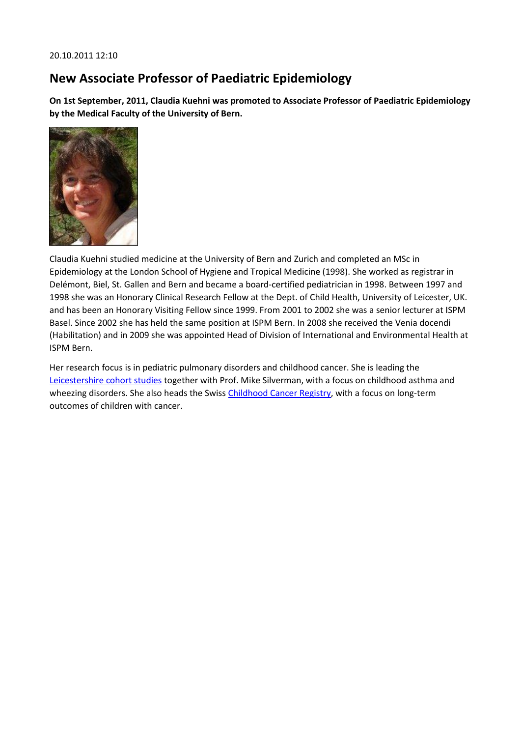### **New Associate Professor of Paediatric Epidemiology**

**On 1st September, 2011, Claudia Kuehni was promoted to Associate Professor of Paediatric Epidemiology by the Medical Faculty of the University of Bern.**



Claudia Kuehni studied medicine at the University of Bern and Zurich and completed an MSc in Epidemiology at the London School of Hygiene and Tropical Medicine (1998). She worked as registrar in Delémont, Biel, St. Gallen and Bern and became a board-certified pediatrician in 1998. Between 1997 and 1998 she was an Honorary Clinical Research Fellow at the Dept. of Child Health, University of Leicester, UK. and has been an Honorary Visiting Fellow since 1999. From 2001 to 2002 she was a senior lecturer at ISPM Basel. Since 2002 she has held the same position at ISPM Bern. In 2008 she received the Venia docendi (Habilitation) and in 2009 she was appointed Head of Division of International and Environmental Health at ISPM Bern.

Her research focus is in pediatric pulmonary disorders and childhood cancer. She is leading the [Leicestershire cohort studies](http://www.leicestercohorts.org/) together with Prof. Mike Silverman, with a focus on childhood asthma and wheezing disorders. She also heads the Swis[s Childhood Cancer Registry,](http://www.childhoodcancerregistry.ch/) with a focus on long-term outcomes of children with cancer.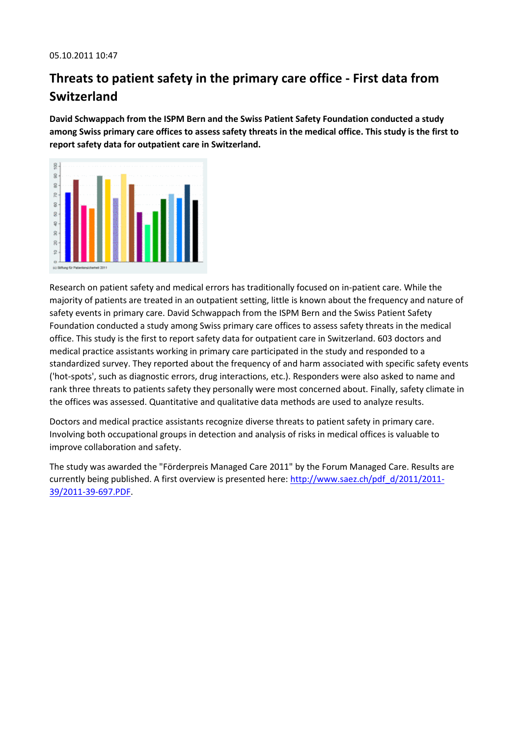# **Threats to patient safety in the primary care office - First data from Switzerland**

**David Schwappach from the ISPM Bern and the Swiss Patient Safety Foundation conducted a study among Swiss primary care offices to assess safety threats in the medical office. This study is the first to report safety data for outpatient care in Switzerland.**



Research on patient safety and medical errors has traditionally focused on in-patient care. While the majority of patients are treated in an outpatient setting, little is known about the frequency and nature of safety events in primary care. David Schwappach from the ISPM Bern and the Swiss Patient Safety Foundation conducted a study among Swiss primary care offices to assess safety threats in the medical office. This study is the first to report safety data for outpatient care in Switzerland. 603 doctors and medical practice assistants working in primary care participated in the study and responded to a standardized survey. They reported about the frequency of and harm associated with specific safety events ('hot-spots', such as diagnostic errors, drug interactions, etc.). Responders were also asked to name and rank three threats to patients safety they personally were most concerned about. Finally, safety climate in the offices was assessed. Quantitative and qualitative data methods are used to analyze results.

Doctors and medical practice assistants recognize diverse threats to patient safety in primary care. Involving both occupational groups in detection and analysis of risks in medical offices is valuable to improve collaboration and safety.

The study was awarded the "Förderpreis Managed Care 2011" by the Forum Managed Care. Results are currently being published. A first overview is presented here[: http://www.saez.ch/pdf\\_d/2011/2011-](http://www.saez.ch/pdf_d/2011/2011-39/2011-39-697.PDF) [39/2011-39-697.PDF.](http://www.saez.ch/pdf_d/2011/2011-39/2011-39-697.PDF)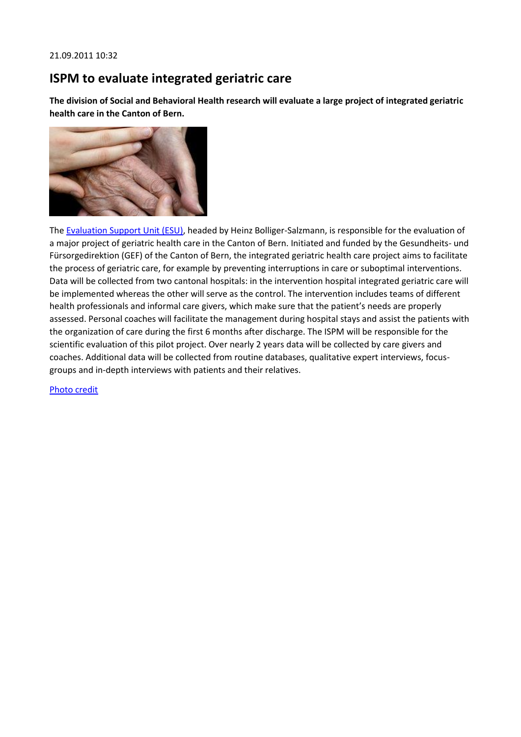### **ISPM to evaluate integrated geriatric care**

**The division of Social and Behavioral Health research will evaluate a large project of integrated geriatric health care in the Canton of Bern.**



The [Evaluation Support Unit \(ESU\),](http://www.ispm.ch/index.php?id=1353) headed by Heinz Bolliger-Salzmann, is responsible for the evaluation of a major project of geriatric health care in the Canton of Bern. Initiated and funded by the Gesundheits- und Fürsorgedirektion (GEF) of the Canton of Bern, the integrated geriatric health care project aims to facilitate the process of geriatric care, for example by preventing interruptions in care or suboptimal interventions. Data will be collected from two cantonal hospitals: in the intervention hospital integrated geriatric care will be implemented whereas the other will serve as the control. The intervention includes teams of different health professionals and informal care givers, which make sure that the patient's needs are properly assessed. Personal coaches will facilitate the management during hospital stays and assist the patients with the organization of care during the first 6 months after discharge. The ISPM will be responsible for the scientific evaluation of this pilot project. Over nearly 2 years data will be collected by care givers and coaches. Additional data will be collected from routine databases, qualitative expert interviews, focusgroups and in-depth interviews with patients and their relatives.

[Photo credit](http://daserste.ndr.de/panorama/archiv/2000/erste7428.html)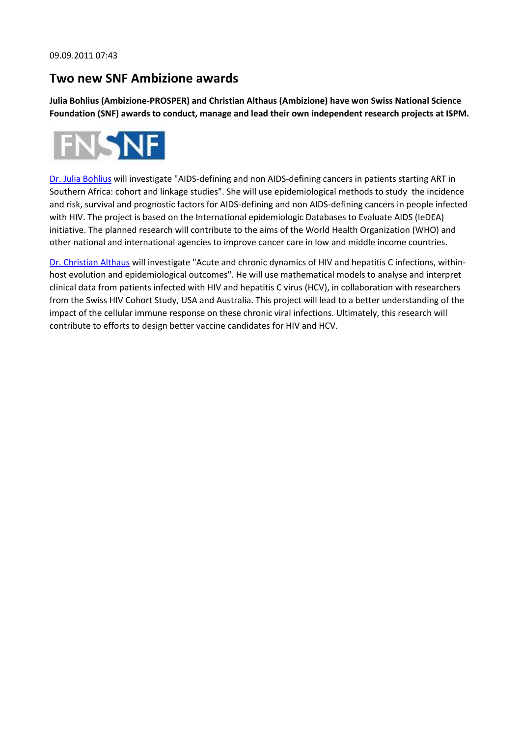#### **Two new SNF Ambizione awards**

**Julia Bohlius (Ambizione-PROSPER) and Christian Althaus (Ambizione) have won Swiss National Science Foundation (SNF) awards to conduct, manage and lead their own independent research projects at ISPM.**



[Dr. Julia Bohlius](http://www.ispm.ch/index.php?id=375&no_cache=1&tx_aumstaffrecord_pi1%5baum_staffrecord%5d=476&tx_aumstaffrecord_pi1%5bbackPid%5d=341) will investigate "AIDS-defining and non AIDS-defining cancers in patients starting ART in Southern Africa: cohort and linkage studies". She will use epidemiological methods to study the incidence and risk, survival and prognostic factors for AIDS-defining and non AIDS-defining cancers in people infected with HIV. The project is based on the International epidemiologic Databases to Evaluate AIDS (IeDEA) initiative. The planned research will contribute to the aims of the World Health Organization (WHO) and other national and international agencies to improve cancer care in low and middle income countries.

[Dr. Christian Althaus](http://www.ispm.ch/index.php?id=375&no_cache=1&tx_aumstaffrecord_pi1%5baum_staffrecord%5d=570&tx_aumstaffrecord_pi1%5bbackPid%5d=341) will investigate "Acute and chronic dynamics of HIV and hepatitis C infections, withinhost evolution and epidemiological outcomes". He will use mathematical models to analyse and interpret clinical data from patients infected with HIV and hepatitis C virus (HCV), in collaboration with researchers from the Swiss HIV Cohort Study, USA and Australia. This project will lead to a better understanding of the impact of the cellular immune response on these chronic viral infections. Ultimately, this research will contribute to efforts to design better vaccine candidates for HIV and HCV.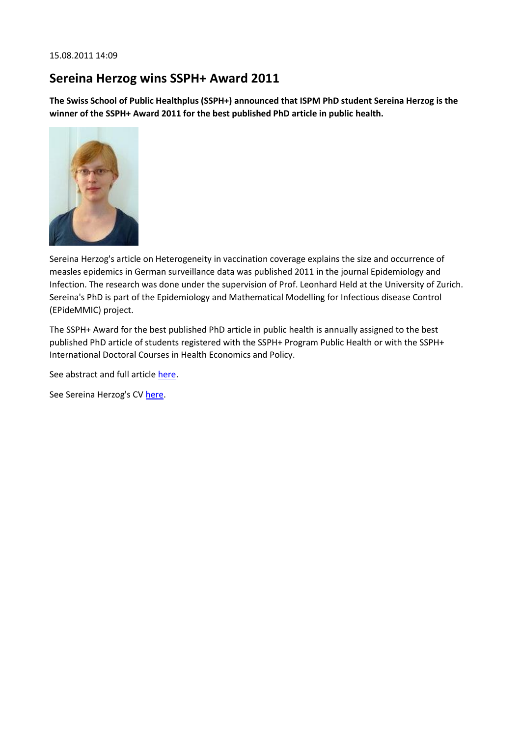## **Sereina Herzog wins SSPH+ Award 2011**

**The Swiss School of Public Healthplus (SSPH+) announced that ISPM PhD student Sereina Herzog is the winner of the SSPH+ Award 2011 for the best published PhD article in public health.**



Sereina Herzog's article on Heterogeneity in vaccination coverage explains the size and occurrence of measles epidemics in German surveillance data was published 2011 in the journal Epidemiology and Infection. The research was done under the supervision of Prof. Leonhard Held at the University of Zurich. Sereina's PhD is part of the Epidemiology and Mathematical Modelling for Infectious disease Control (EPideMMIC) project.

The SSPH+ Award for the best published PhD article in public health is annually assigned to the best published PhD article of students registered with the SSPH+ Program Public Health or with the SSPH+ International Doctoral Courses in Health Economics and Policy.

See abstract and full articl[e here.](http://journals.cambridge.org/action/displayAbstract?fromPage=online&aid=8199083)

See Sereina Herzog's CV [here.](http://www.ssphplus.ch/IMG/pdf/Sereina_Herzog_CVx.pdf)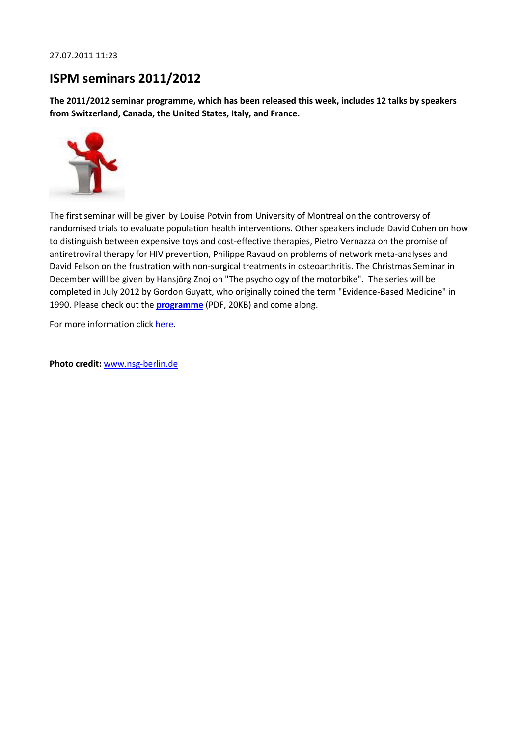#### 27.07.2011 11:23

## **ISPM seminars 2011/2012**

**The 2011/2012 seminar programme, which has been released this week, includes 12 talks by speakers from Switzerland, Canada, the United States, Italy, and France.**



The first seminar will be given by Louise Potvin from University of Montreal on the controversy of randomised trials to evaluate population health interventions. Other speakers include David Cohen on how to distinguish between expensive toys and cost-effective therapies, Pietro Vernazza on the promise of antiretroviral therapy for HIV prevention, Philippe Ravaud on problems of network meta-analyses and David Felson on the frustration with non-surgical treatments in osteoarthritis. The Christmas Seminar in December willl be given by Hansjörg Znoj on "The psychology of the motorbike". The series will be completed in July 2012 by Gordon Guyatt, who originally coined the term "Evidence-Based Medicine" in 1990. Please check out the **[programme](http://www.ispm.ch/fileadmin/doc_download/Seminare/Seminare_2011_2012.pdf)** (PDF, 20KB) and come along.

For more information clic[k here.](http://ispm.ch/?id=2421)

**Photo credit:** [www.nsg-berlin.de](http://www.google.ch/imgres?imgurl=http://www.nsg-berlin.de/bilder/seminare-vortraege.jpg&imgrefurl=http://www.nsg-berlin.de/kundenservice-seminare.html&usg=__sasm_FzuRoZYs8P9OEEIi2d_M68=&h=280&w=280&sz=29&hl=de&start=6&um=1&itbs=1&tbnid=T4fG8GesnZdyTM:&tbnh=114&tbnw=114&prev=/images%3Fq%3Dseminare%26um%3D1%26hl%3Dde%26sa%3DN%26rls%3Dcom.microsoft:de-ch:IE-SearchBox%26rlz%3D1I7ADBF%26tbs%3Disch:1)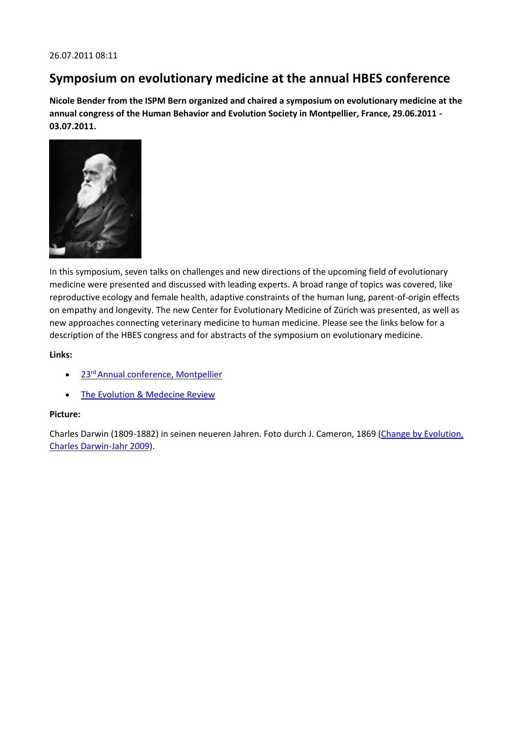#### **Symposium on evolutionary medicine at the annual HBES conference**

**Nicole Bender from the ISPM Bern organized and chaired a symposium on evolutionary medicine at the annual congress of the Human Behavior and Evolution Society in Montpellier, France, 29.06.2011 - 03.07.2011.**



In this symposium, seven talks on challenges and new directions of the upcoming field of evolutionary medicine were presented and discussed with leading experts. A broad range of topics was covered, like reproductive ecology and female health, adaptive constraints of the human lung, parent-of-origin effects on empathy and longevity. The new Center for Evolutionary Medicine of Zürich was presented, as well as new approaches connecting veterinary medicine to human medicine. Please see the links below for a description of the HBES congress and for abstracts of the symposium on evolutionary medicine.

**Links:**

- 23<sup>rd</sup> [Annual conference, Montpellier](http://www.hbes2011.univ-montp2.fr/)
- [The Evolution & Medecine Review](http://evmedreview.com/?p=729)

#### **Picture:**

Charles Darwin (1809-1882) in seinen neueren Jahren. Foto durch J. Cameron, 1869 (Change by Evolution, [Charles Darwin-Jahr 2009\)](http://www.charles-darwin-jahr.at/index.php?m=viewarticle&ar=76).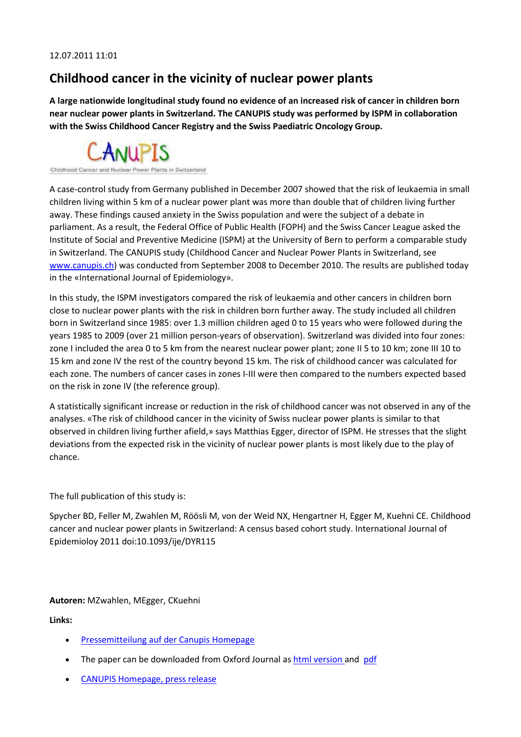### **Childhood cancer in the vicinity of nuclear power plants**

**A large nationwide longitudinal study found no evidence of an increased risk of cancer in children born near nuclear power plants in Switzerland. The CANUPIS study was performed by ISPM in collaboration with the Swiss Childhood Cancer Registry and the Swiss Paediatric Oncology Group.**



Childhood Cand

A case-control study from Germany published in December 2007 showed that the risk of leukaemia in small children living within 5 km of a nuclear power plant was more than double that of children living further away. These findings caused anxiety in the Swiss population and were the subject of a debate in parliament. As a result, the Federal Office of Public Health (FOPH) and the Swiss Cancer League asked the Institute of Social and Preventive Medicine (ISPM) at the University of Bern to perform a comparable study in Switzerland. The CANUPIS study (Childhood Cancer and Nuclear Power Plants in Switzerland, see [www.canupis.ch\)](http://www.canupis.ch/) was conducted from September 2008 to December 2010. The results are published today in the «International Journal of Epidemiology».

In this study, the ISPM investigators compared the risk of leukaemia and other cancers in children born close to nuclear power plants with the risk in children born further away. The study included all children born in Switzerland since 1985: over 1.3 million children aged 0 to 15 years who were followed during the years 1985 to 2009 (over 21 million person-years of observation). Switzerland was divided into four zones: zone I included the area 0 to 5 km from the nearest nuclear power plant; zone II 5 to 10 km; zone III 10 to 15 km and zone IV the rest of the country beyond 15 km. The risk of childhood cancer was calculated for each zone. The numbers of cancer cases in zones I-III were then compared to the numbers expected based on the risk in zone IV (the reference group).

A statistically significant increase or reduction in the risk of childhood cancer was not observed in any of the analyses. «The risk of childhood cancer in the vicinity of Swiss nuclear power plants is similar to that observed in children living further afield,» says Matthias Egger, director of ISPM. He stresses that the slight deviations from the expected risk in the vicinity of nuclear power plants is most likely due to the play of chance.

The full publication of this study is:

Spycher BD, Feller M, Zwahlen M, Röösli M, von der Weid NX, Hengartner H, Egger M, Kuehni CE. Childhood cancer and nuclear power plants in Switzerland: A census based cohort study. International Journal of Epidemioloy 2011 doi:10.1093/ije/DYR115

**Autoren:** MZwahlen, MEgger, CKuehni

**Links:** 

- [Pressemitteilung auf der Canupis Homepage](http://www.canupis.ch/index.php?id=2213)
- The paper can be downloaded from Oxford Journal as [html version a](http://ije.oxfordjournals.org/content/early/2011/07/11/ije.dyr115.full)nd [pdf](http://ije.oxfordjournals.org/content/early/2011/07/11/ije.dyr115.full.pdf+html)
- [CANUPIS Homepage, press release](http://www.canupis.ch/index.php?id=2202)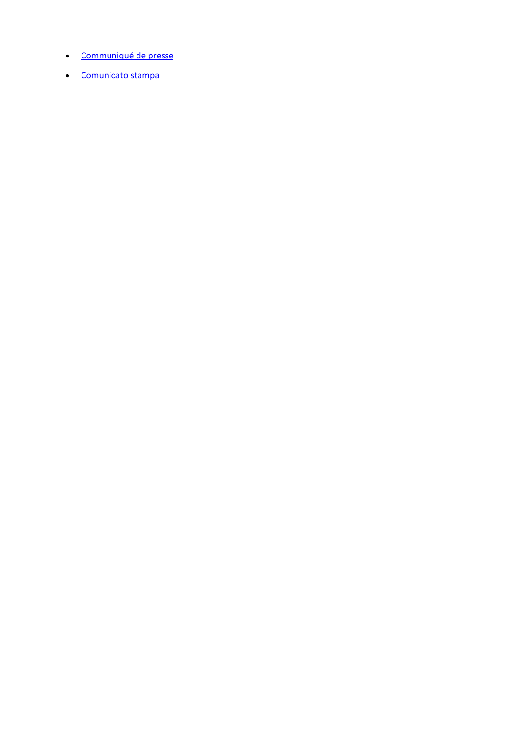- [Communiqué de presse](http://www.canupis.ch/index.php?id=2118)
- [Comunicato stampa](http://www.canupis.ch/index.php?id=2204)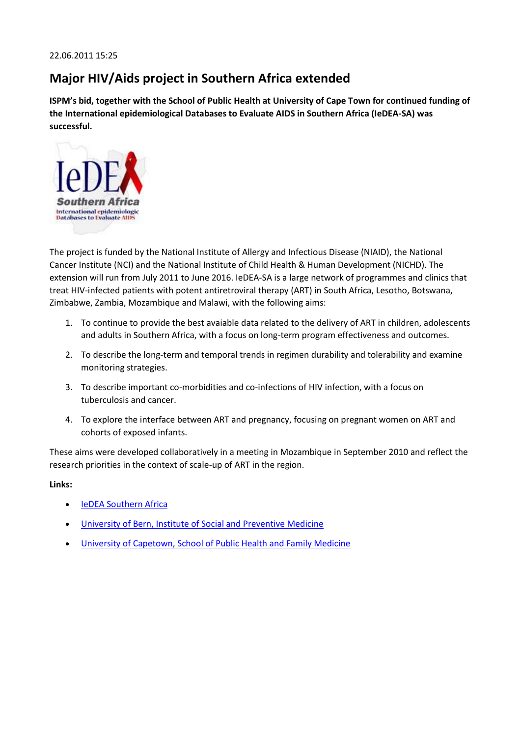## **Major HIV/Aids project in Southern Africa extended**

**ISPM's bid, together with the School of Public Health at University of Cape Town for continued funding of the International epidemiological Databases to Evaluate AIDS in Southern Africa (IeDEA-SA) was successful.**



The project is funded by the National Institute of Allergy and Infectious Disease (NIAID), the National Cancer Institute (NCI) and the National Institute of Child Health & Human Development (NICHD). The extension will run from July 2011 to June 2016. IeDEA-SA is a large network of programmes and clinics that treat HIV-infected patients with potent antiretroviral therapy (ART) in South Africa, Lesotho, Botswana, Zimbabwe, Zambia, Mozambique and Malawi, with the following aims:

- 1. To continue to provide the best avaiable data related to the delivery of ART in children, adolescents and adults in Southern Africa, with a focus on long-term program effectiveness and outcomes.
- 2. To describe the long-term and temporal trends in regimen durability and tolerability and examine monitoring strategies.
- 3. To describe important co-morbidities and co-infections of HIV infection, with a focus on tuberculosis and cancer.
- 4. To explore the interface between ART and pregnancy, focusing on pregnant women on ART and cohorts of exposed infants.

These aims were developed collaboratively in a meeting in Mozambique in September 2010 and reflect the research priorities in the context of scale-up of ART in the region.

#### **Links:**

- **•** [IeDEA Southern Africa](http://www.iedea-sa.org/)
- [University of Bern, Institute of Social and Preventive Medicine](http://www.ispm.ch/)
- [University of Capetown, School of Public Health and Family Medicine](http://www.publichealth.uct.ac.za/)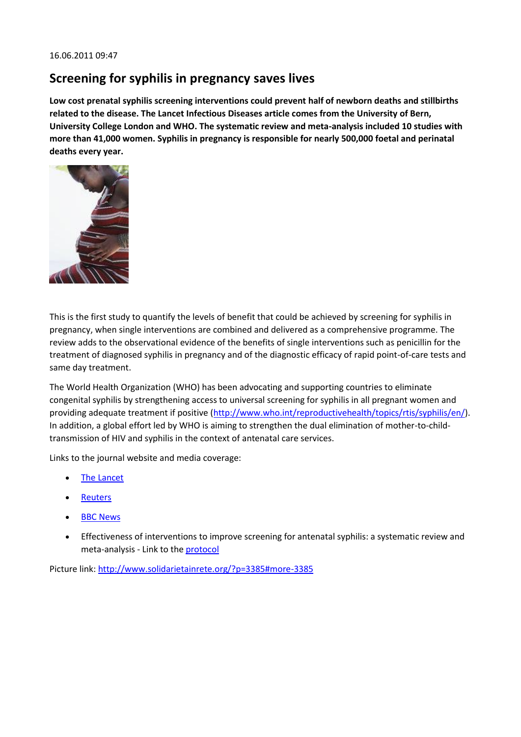#### **Screening for syphilis in pregnancy saves lives**

**Low cost prenatal syphilis screening interventions could prevent half of newborn deaths and stillbirths related to the disease. The Lancet Infectious Diseases article comes from the University of Bern, University College London and WHO. The systematic review and meta-analysis included 10 studies with more than 41,000 women. Syphilis in pregnancy is responsible for nearly 500,000 foetal and perinatal deaths every year.**



This is the first study to quantify the levels of benefit that could be achieved by screening for syphilis in pregnancy, when single interventions are combined and delivered as a comprehensive programme. The review adds to the observational evidence of the benefits of single interventions such as penicillin for the treatment of diagnosed syphilis in pregnancy and of the diagnostic efficacy of rapid point-of-care tests and same day treatment.

The World Health Organization (WHO) has been advocating and supporting countries to eliminate congenital syphilis by strengthening access to universal screening for syphilis in all pregnant women and providing adequate treatment if positive [\(http://www.who.int/reproductivehealth/topics/rtis/syphilis/en/\)](http://www.who.int/reproductivehealth/topics/rtis/syphilis/en/). In addition, a global effort led by WHO is aiming to strengthen the dual elimination of mother-to-childtransmission of HIV and syphilis in the context of antenatal care services.

Links to the journal website and media coverage:

- [The Lancet](http://www.thelancet.com/)
- [Reuters](http://www.reuters.com/article/2011/06/15/us-syphilis-stillbirths-idUSTRE75E6NW20110615)
- [BBC News](http://www.bbc.co.uk/news/health-13775773)
- Effectiveness of interventions to improve screening for antenatal syphilis: a systematic review and meta-analysis - Link to the **[protocol](http://www.ispm.ch/index.php?id=3088)**

Picture link:<http://www.solidarietainrete.org/?p=3385#more-3385>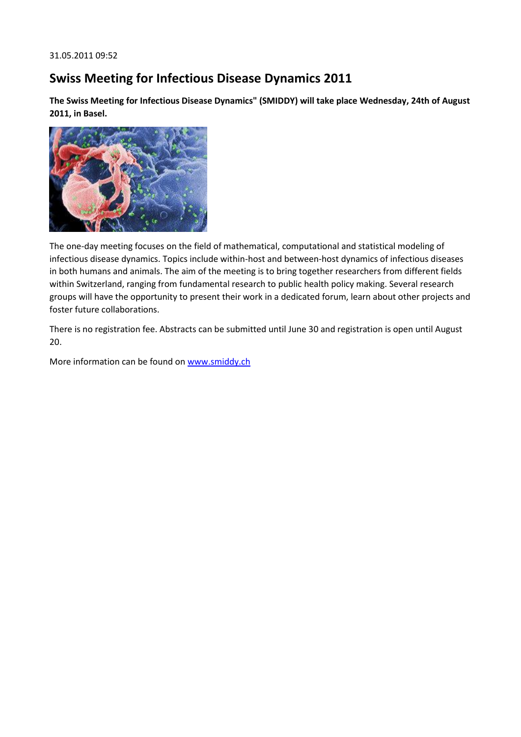## **Swiss Meeting for Infectious Disease Dynamics 2011**

**The Swiss Meeting for Infectious Disease Dynamics" (SMIDDY) will take place Wednesday, 24th of August 2011, in Basel.**



The one-day meeting focuses on the field of mathematical, computational and statistical modeling of infectious disease dynamics. Topics include within-host and between-host dynamics of infectious diseases in both humans and animals. The aim of the meeting is to bring together researchers from different fields within Switzerland, ranging from fundamental research to public health policy making. Several research groups will have the opportunity to present their work in a dedicated forum, learn about other projects and foster future collaborations.

There is no registration fee. Abstracts can be submitted until June 30 and registration is open until August 20.

More information can be found on [www.smiddy.ch](http://www.smiddy.ch/)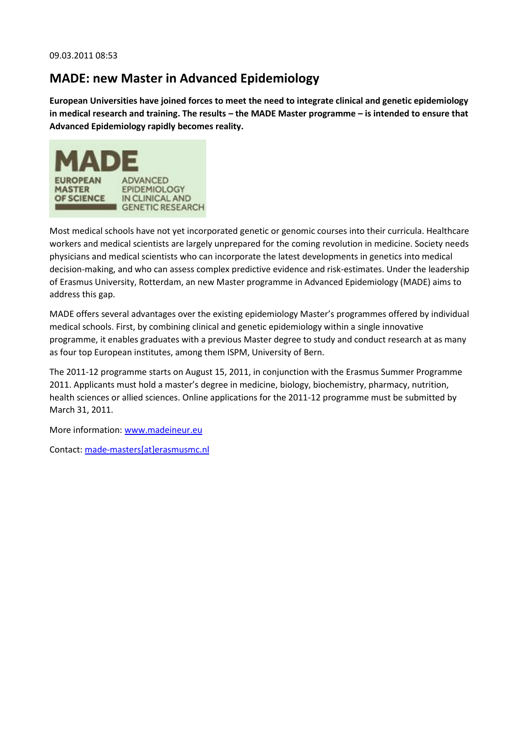## **MADE: new Master in Advanced Epidemiology**

**European Universities have joined forces to meet the need to integrate clinical and genetic epidemiology in medical research and training. The results – the MADE Master programme – is intended to ensure that Advanced Epidemiology rapidly becomes reality.**



Most medical schools have not yet incorporated genetic or genomic courses into their curricula. Healthcare workers and medical scientists are largely unprepared for the coming revolution in medicine. Society needs physicians and medical scientists who can incorporate the latest developments in genetics into medical decision-making, and who can assess complex predictive evidence and risk-estimates. Under the leadership of Erasmus University, Rotterdam, an new Master programme in Advanced Epidemiology (MADE) aims to address this gap.

MADE offers several advantages over the existing epidemiology Master's programmes offered by individual medical schools. First, by combining clinical and genetic epidemiology within a single innovative programme, it enables graduates with a previous Master degree to study and conduct research at as many as four top European institutes, among them ISPM, University of Bern.

The 2011-12 programme starts on August 15, 2011, in conjunction with the Erasmus Summer Programme 2011. Applicants must hold a master's degree in medicine, biology, biochemistry, pharmacy, nutrition, health sciences or allied sciences. Online applications for the 2011-12 programme must be submitted by March 31, 2011.

More information: [www.madeineur.eu](http://www.madeineur.eu/)

Contact: [made-masters\[at\]erasmusmc.nl](javascript:linkTo_UnCryptMailto()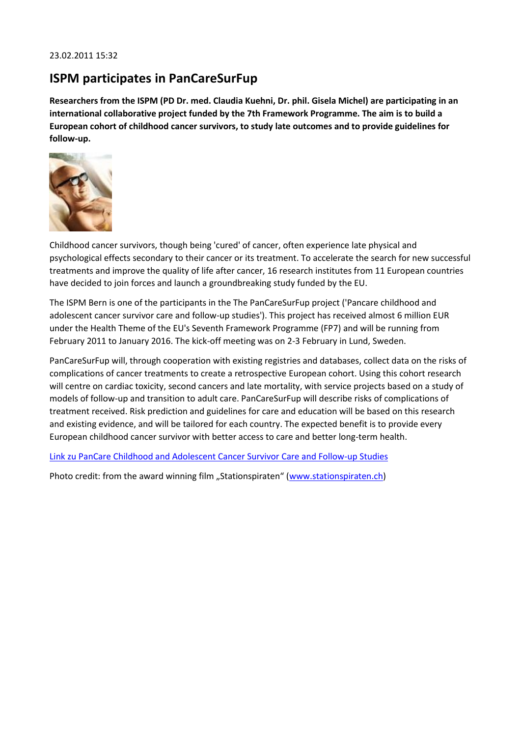### **ISPM participates in PanCareSurFup**

**Researchers from the ISPM (PD Dr. med. Claudia Kuehni, Dr. phil. Gisela Michel) are participating in an international collaborative project funded by the 7th Framework Programme. The aim is to build a European cohort of childhood cancer survivors, to study late outcomes and to provide guidelines for follow-up.**



Childhood cancer survivors, though being 'cured' of cancer, often experience late physical and psychological effects secondary to their cancer or its treatment. To accelerate the search for new successful treatments and improve the quality of life after cancer, 16 research institutes from 11 European countries have decided to join forces and launch a groundbreaking study funded by the EU.

The ISPM Bern is one of the participants in the The PanCareSurFup project ('Pancare childhood and adolescent cancer survivor care and follow-up studies'). This project has received almost 6 million EUR under the Health Theme of the EU's Seventh Framework Programme (FP7) and will be running from February 2011 to January 2016. The kick-off meeting was on 2-3 February in Lund, Sweden.

PanCareSurFup will, through cooperation with existing registries and databases, collect data on the risks of complications of cancer treatments to create a retrospective European cohort. Using this cohort research will centre on cardiac toxicity, second cancers and late mortality, with service projects based on a study of models of follow-up and transition to adult care. PanCareSurFup will describe risks of complications of treatment received. Risk prediction and guidelines for care and education will be based on this research and existing evidence, and will be tailored for each country. The expected benefit is to provide every European childhood cancer survivor with better access to care and better long-term health.

[Link zu PanCare Childhood and Adolescent Cancer Survivor Care and Follow-up Studies](http://cordis.europa.eu/fetch?CALLER=FP7_PROJ_FR&ACTION=D&DOC=4&CAT=PROJ&QUERY=012d9414a311:db3a:6a6ae8c0&RCN=97692)

Photo credit: from the award winning film "Stationspiraten" ([www.stationspiraten.ch\)](http://www.stationspiraten.ch/)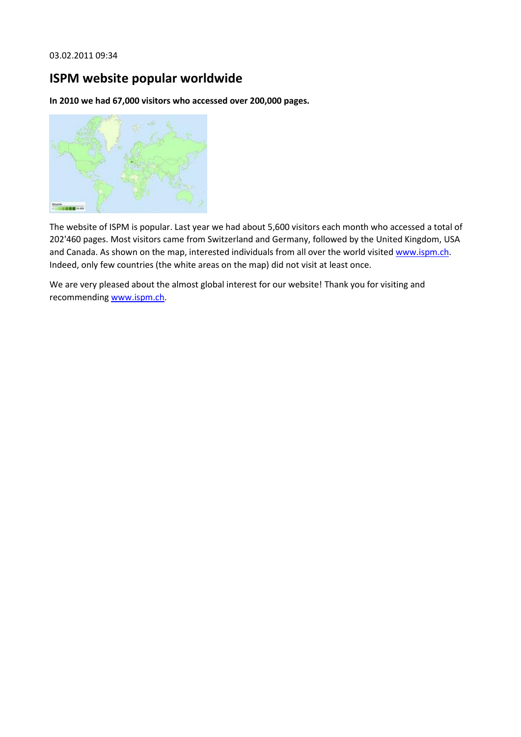# **ISPM website popular worldwide**

**In 2010 we had 67,000 visitors who accessed over 200,000 pages.**



The website of ISPM is popular. Last year we had about 5,600 visitors each month who accessed a total of 202'460 pages. Most visitors came from Switzerland and Germany, followed by the United Kingdom, USA and Canada. As shown on the map, interested individuals from all over the world visited [www.ispm.ch.](http://www.ispm.ch/) Indeed, only few countries (the white areas on the map) did not visit at least once.

We are very pleased about the almost global interest for our website! Thank you for visiting and recommending [www.ispm.ch.](http://www.ispm.ch/)